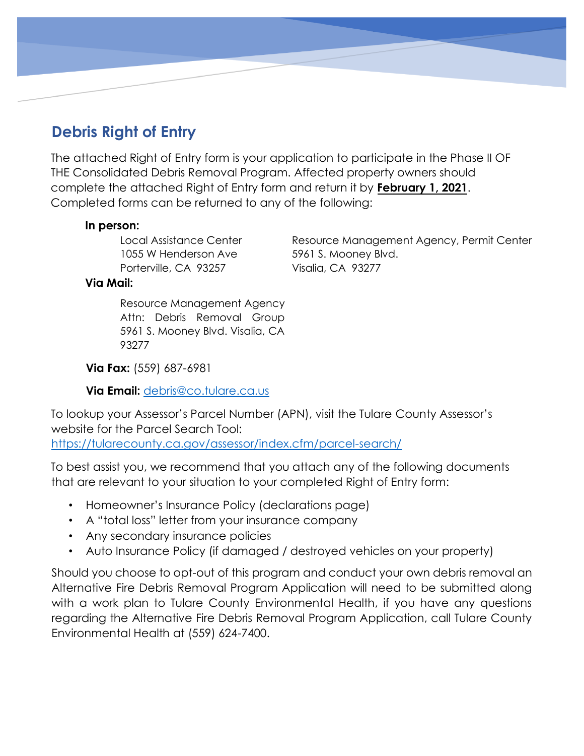# **Debris Right of Entry**

The attached Right of Entry form is your application to participate in the Phase II OF THE Consolidated Debris Removal Program. Affected property owners should complete the attached Right of Entry form and return it by **February 1, 2021**. Completed forms can be returned to any of the following:

#### **In person:**

1055 W Henderson Ave 5961 S. Mooney Blvd. Porterville, CA 93257 Visalia, CA 93277

Local Assistance Center **Resource Management Agency, Permit Center** 

#### **Via Mail:**

Resource Management Agency Attn: Debris Removal Group 5961 S. Mooney Blvd. Visalia, CA 93277

**Via Fax:** (559) 687-6981

**Via Email:** debris@co.tulare.ca.us

To lookup your Assessor's Parcel Number (APN), visit the Tulare County Assessor's website for the Parcel Search Tool: <https://tularecounty.ca.gov/assessor/index.cfm/parcel-search/>

To best assist you, we recommend that you attach any of the following documents that are relevant to your situation to your completed Right of Entry form:

- Homeowner's Insurance Policy (declarations page)
- A "total loss" letter from your insurance company
- Any secondary insurance policies
- Auto Insurance Policy (if damaged / destroyed vehicles on your property)

Should you choose to opt-out of this program and conduct your own debris removal an Alternative Fire Debris Removal Program Application will need to be submitted along with a work plan to Tulare County Environmental Health, if you have any questions regarding the Alternative Fire Debris Removal Program Application, call Tulare County Environmental Health at (559) 624-7400.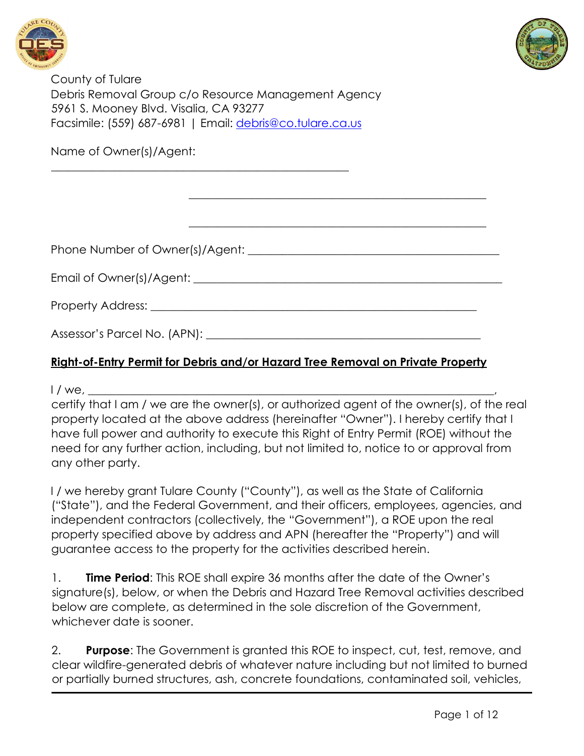



County of Tulare Debris Removal Group c/o Resource Management Agency 5961 S. Mooney Blvd. Visalia, CA 93277 Facsimile: (559) 687-6981 | Email: debris@co.tulare.ca.us

\_\_\_\_\_\_\_\_\_\_\_\_\_\_\_\_\_\_\_\_\_\_\_\_\_\_\_\_\_\_\_\_\_\_\_\_\_\_\_\_\_\_\_\_\_\_\_\_\_\_\_\_

Name of Owner(s)/Agent:

Phone Number of Owner(s)/Agent: \_\_\_\_\_\_\_\_\_\_\_\_\_\_\_\_\_\_\_\_\_\_\_\_\_\_\_\_\_\_\_\_\_\_\_\_\_\_\_\_\_\_\_\_

Email of Owner(s)/Agent: \_\_\_\_\_\_\_\_\_\_\_\_\_\_\_\_\_\_\_\_\_\_\_\_\_\_\_\_\_\_\_\_\_\_\_\_\_\_\_\_\_\_\_\_\_\_\_\_\_\_\_\_\_\_

Property Address: \_\_\_\_\_\_\_\_\_\_\_\_\_\_\_\_\_\_\_\_\_\_\_\_\_\_\_\_\_\_\_\_\_\_\_\_\_\_\_\_\_\_\_\_\_\_\_\_\_\_\_\_\_\_\_\_\_

Assessor's Parcel No. (APN): \_\_\_\_\_\_\_\_\_\_\_\_\_\_\_\_\_\_\_\_\_\_\_\_\_\_\_\_\_\_\_\_\_\_\_\_\_\_\_\_\_\_\_\_\_\_\_\_

# **Right-of-Entry Permit for Debris and/or Hazard Tree Removal on Private Property**

 $1 /$  we,

certify that I am / we are the owner(s), or authorized agent of the owner(s), of the real property located at the above address (hereinafter "Owner"). I hereby certify that I have full power and authority to execute this Right of Entry Permit (ROE) without the need for any further action, including, but not limited to, notice to or approval from any other party.

\_\_\_\_\_\_\_\_\_\_\_\_\_\_\_\_\_\_\_\_\_\_\_\_\_\_\_\_\_\_\_\_\_\_\_\_\_\_\_\_\_\_\_\_\_\_\_\_\_\_\_\_

\_\_\_\_\_\_\_\_\_\_\_\_\_\_\_\_\_\_\_\_\_\_\_\_\_\_\_\_\_\_\_\_\_\_\_\_\_\_\_\_\_\_\_\_\_\_\_\_\_\_\_\_

I / we hereby grant Tulare County ("County"), as well as the State of California ("State"), and the Federal Government, and their officers, employees, agencies, and independent contractors (collectively, the "Government"), a ROE upon the real property specified above by address and APN (hereafter the "Property") and will guarantee access to the property for the activities described herein.

1. **Time Period**: This ROE shall expire 36 months after the date of the Owner's signature(s), below, or when the Debris and Hazard Tree Removal activities described below are complete, as determined in the sole discretion of the Government, whichever date is sooner.

2. **Purpose**: The Government is granted this ROE to inspect, cut, test, remove, and clear wildfire-generated debris of whatever nature including but not limited to burned or partially burned structures, ash, concrete foundations, contaminated soil, vehicles,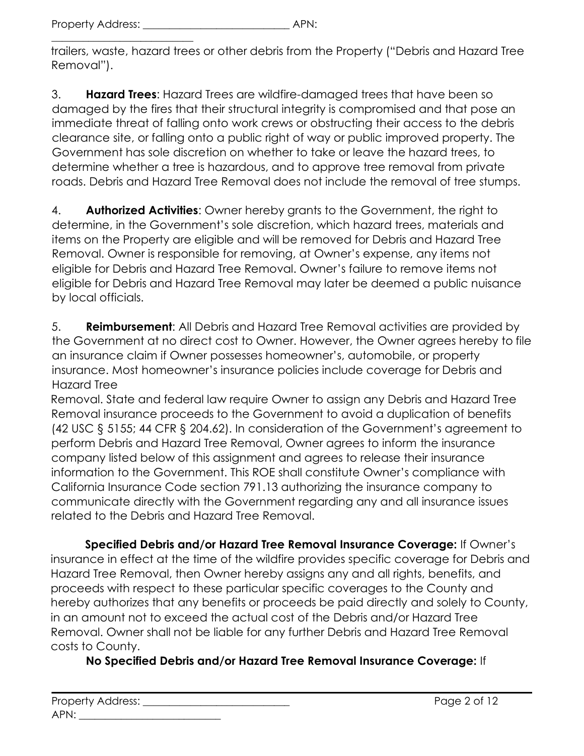\_\_\_\_\_\_\_\_\_\_\_\_\_\_\_\_\_\_\_\_\_\_\_\_\_\_\_

trailers, waste, hazard trees or other debris from the Property ("Debris and Hazard Tree Removal").

3. **Hazard Trees**: Hazard Trees are wildfire-damaged trees that have been so damaged by the fires that their structural integrity is compromised and that pose an immediate threat of falling onto work crews or obstructing their access to the debris clearance site, or falling onto a public right of way or public improved property. The Government has sole discretion on whether to take or leave the hazard trees, to determine whether a tree is hazardous, and to approve tree removal from private roads. Debris and Hazard Tree Removal does not include the removal of tree stumps.

4. **Authorized Activities**: Owner hereby grants to the Government, the right to determine, in the Government's sole discretion, which hazard trees, materials and items on the Property are eligible and will be removed for Debris and Hazard Tree Removal. Owner is responsible for removing, at Owner's expense, any items not eligible for Debris and Hazard Tree Removal. Owner's failure to remove items not eligible for Debris and Hazard Tree Removal may later be deemed a public nuisance by local officials.

5. **Reimbursement**: All Debris and Hazard Tree Removal activities are provided by the Government at no direct cost to Owner. However, the Owner agrees hereby to file an insurance claim if Owner possesses homeowner's, automobile, or property insurance. Most homeowner's insurance policies include coverage for Debris and Hazard Tree

Removal. State and federal law require Owner to assign any Debris and Hazard Tree Removal insurance proceeds to the Government to avoid a duplication of benefits (42 USC § 5155; 44 CFR § 204.62). In consideration of the Government's agreement to perform Debris and Hazard Tree Removal, Owner agrees to inform the insurance company listed below of this assignment and agrees to release their insurance information to the Government. This ROE shall constitute Owner's compliance with California Insurance Code section 791.13 authorizing the insurance company to communicate directly with the Government regarding any and all insurance issues related to the Debris and Hazard Tree Removal.

**Specified Debris and/or Hazard Tree Removal Insurance Coverage:** If Owner's insurance in effect at the time of the wildfire provides specific coverage for Debris and Hazard Tree Removal, then Owner hereby assigns any and all rights, benefits, and proceeds with respect to these particular specific coverages to the County and hereby authorizes that any benefits or proceeds be paid directly and solely to County, in an amount not to exceed the actual cost of the Debris and/or Hazard Tree Removal. Owner shall not be liable for any further Debris and Hazard Tree Removal costs to County.

# **No Specified Debris and/or Hazard Tree Removal Insurance Coverage:** If

| <b>Property Address:</b> |  |
|--------------------------|--|
| APN:                     |  |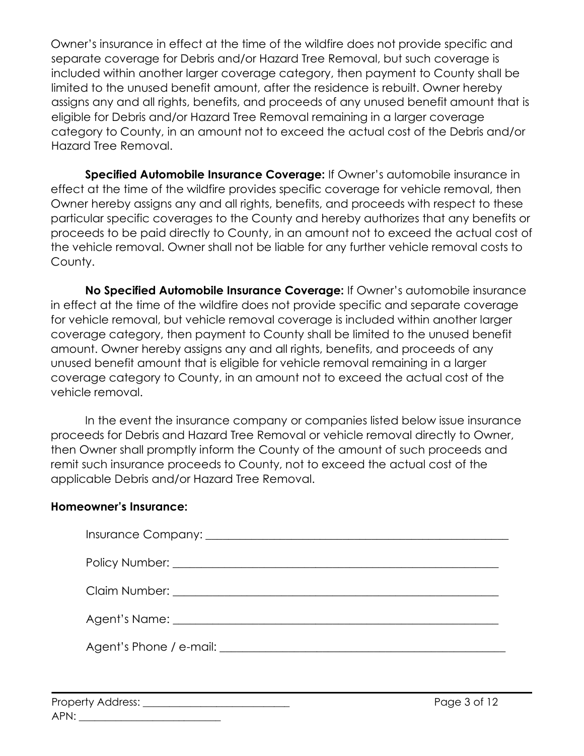Owner's insurance in effect at the time of the wildfire does not provide specific and separate coverage for Debris and/or Hazard Tree Removal, but such coverage is included within another larger coverage category, then payment to County shall be limited to the unused benefit amount, after the residence is rebuilt. Owner hereby assigns any and all rights, benefits, and proceeds of any unused benefit amount that is eligible for Debris and/or Hazard Tree Removal remaining in a larger coverage category to County, in an amount not to exceed the actual cost of the Debris and/or Hazard Tree Removal.

**Specified Automobile Insurance Coverage:** If Owner's automobile insurance in effect at the time of the wildfire provides specific coverage for vehicle removal, then Owner hereby assigns any and all rights, benefits, and proceeds with respect to these particular specific coverages to the County and hereby authorizes that any benefits or proceeds to be paid directly to County, in an amount not to exceed the actual cost of the vehicle removal. Owner shall not be liable for any further vehicle removal costs to County.

**No Specified Automobile Insurance Coverage:** If Owner's automobile insurance in effect at the time of the wildfire does not provide specific and separate coverage for vehicle removal, but vehicle removal coverage is included within another larger coverage category, then payment to County shall be limited to the unused benefit amount. Owner hereby assigns any and all rights, benefits, and proceeds of any unused benefit amount that is eligible for vehicle removal remaining in a larger coverage category to County, in an amount not to exceed the actual cost of the vehicle removal.

In the event the insurance company or companies listed below issue insurance proceeds for Debris and Hazard Tree Removal or vehicle removal directly to Owner, then Owner shall promptly inform the County of the amount of such proceeds and remit such insurance proceeds to County, not to exceed the actual cost of the applicable Debris and/or Hazard Tree Removal.

#### **Homeowner's Insurance:**

| Agent's Phone / e-mail: <u>contained</u> and a series of the series of the series of the series of the series of the series of the series of the series of the series of the series of the series of the series of the series of th |
|-------------------------------------------------------------------------------------------------------------------------------------------------------------------------------------------------------------------------------------|
|                                                                                                                                                                                                                                     |

| <b>Property Address:</b> |  |
|--------------------------|--|
| APN:                     |  |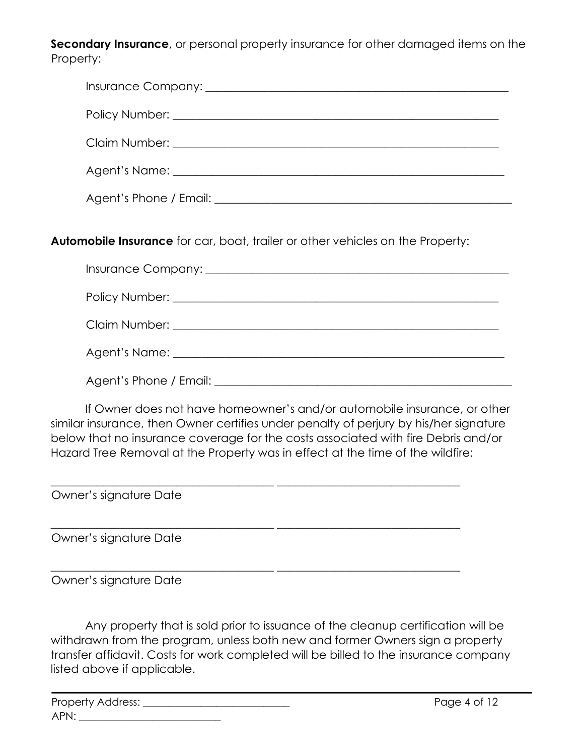**Secondary Insurance**, or personal property insurance for other damaged items on the Property:

| Claim Number: <u>Quantity and Claim Number</u> |
|------------------------------------------------|
|                                                |
|                                                |

**Automobile Insurance** for car, boat, trailer or other vehicles on the Property:

| Agent's Phone / Email: <b>Agent</b> 's Phone / Email: |
|-------------------------------------------------------|

If Owner does not have homeowner's and/or automobile insurance, or other similar insurance, then Owner certifies under penalty of perjury by his/her signature below that no insurance coverage for the costs associated with fire Debris and/or Hazard Tree Removal at the Property was in effect at the time of the wildfire:

 $\_$  , and the set of the set of the set of the set of the set of the set of the set of the set of the set of the set of the set of the set of the set of the set of the set of the set of the set of the set of the set of th

 $\_$  , and the set of the set of the set of the set of the set of the set of the set of the set of the set of the set of the set of the set of the set of the set of the set of the set of the set of the set of the set of th

 $\_$  , and the set of the set of the set of the set of the set of the set of the set of the set of the set of the set of the set of the set of the set of the set of the set of the set of the set of the set of the set of th

Owner's signature Date

Owner's signature Date

Owner's signature Date

Any property that is sold prior to issuance of the cleanup certification will be withdrawn from the program, unless both new and former Owners sign a property transfer affidavit. Costs for work completed will be billed to the insurance company listed above if applicable.

| <b>Property Address:</b> |  |
|--------------------------|--|
| APN:                     |  |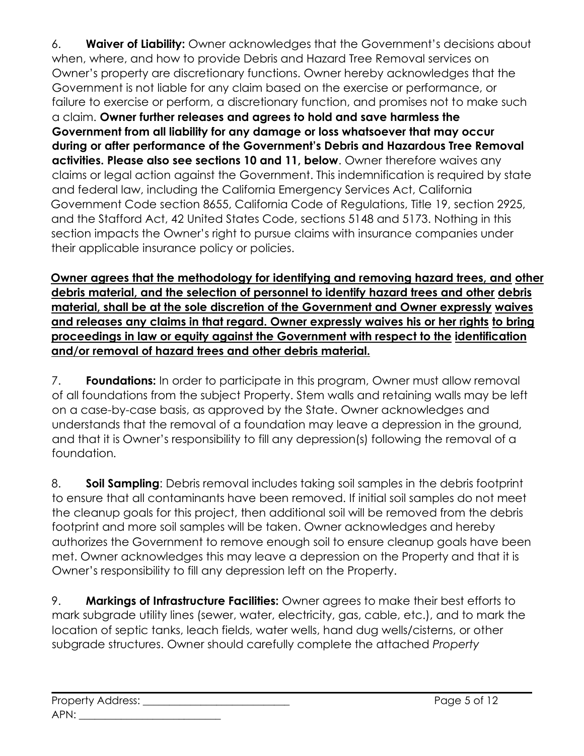6. **Waiver of Liability:** Owner acknowledges that the Government's decisions about when, where, and how to provide Debris and Hazard Tree Removal services on Owner's property are discretionary functions. Owner hereby acknowledges that the Government is not liable for any claim based on the exercise or performance, or failure to exercise or perform, a discretionary function, and promises not to make such a claim. **Owner further releases and agrees to hold and save harmless the Government from all liability for any damage or loss whatsoever that may occur during or after performance of the Government's Debris and Hazardous Tree Removal activities. Please also see sections 10 and 11, below**. Owner therefore waives any claims or legal action against the Government. This indemnification is required by state and federal law, including the California Emergency Services Act, California Government Code section 8655, California Code of Regulations, Title 19, section 2925, and the Stafford Act, 42 United States Code, sections 5148 and 5173. Nothing in this section impacts the Owner's right to pursue claims with insurance companies under their applicable insurance policy or policies.

**Owner agrees that the methodology for identifying and removing hazard trees, and other debris material, and the selection of personnel to identify hazard trees and other debris material, shall be at the sole discretion of the Government and Owner expressly waives and releases any claims in that regard. Owner expressly waives his or her rights to bring proceedings in law or equity against the Government with respect to the identification and/or removal of hazard trees and other debris material.**

7. **Foundations:** In order to participate in this program, Owner must allow removal of all foundations from the subject Property. Stem walls and retaining walls may be left on a case-by-case basis, as approved by the State. Owner acknowledges and understands that the removal of a foundation may leave a depression in the ground, and that it is Owner's responsibility to fill any depression(s) following the removal of a foundation.

8. **Soil Sampling**: Debris removal includes taking soil samples in the debris footprint to ensure that all contaminants have been removed. If initial soil samples do not meet the cleanup goals for this project, then additional soil will be removed from the debris footprint and more soil samples will be taken. Owner acknowledges and hereby authorizes the Government to remove enough soil to ensure cleanup goals have been met. Owner acknowledges this may leave a depression on the Property and that it is Owner's responsibility to fill any depression left on the Property.

9. **Markings of Infrastructure Facilities:** Owner agrees to make their best efforts to mark subgrade utility lines (sewer, water, electricity, gas, cable, etc.), and to mark the location of septic tanks, leach fields, water wells, hand dug wells/cisterns, or other subgrade structures. Owner should carefully complete the attached *Property*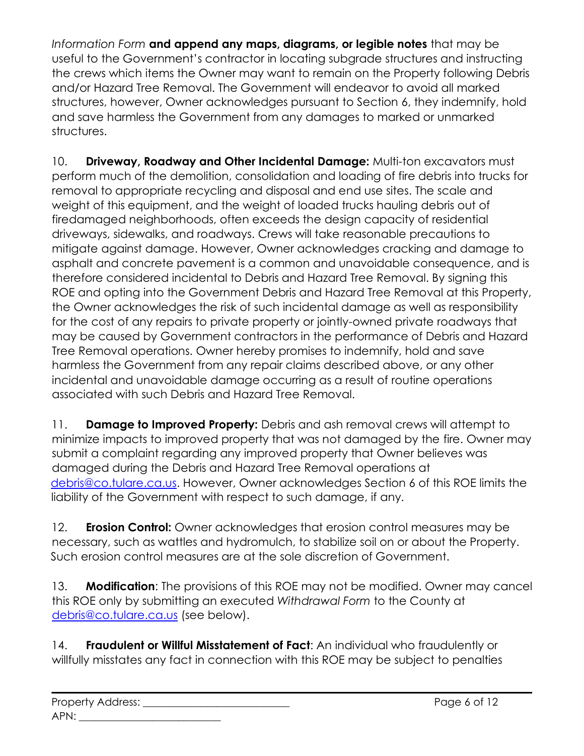*Information Form* **and append any maps, diagrams, or legible notes** that may be useful to the Government's contractor in locating subgrade structures and instructing the crews which items the Owner may want to remain on the Property following Debris and/or Hazard Tree Removal. The Government will endeavor to avoid all marked structures, however, Owner acknowledges pursuant to Section 6, they indemnify, hold and save harmless the Government from any damages to marked or unmarked structures.

10. **Driveway, Roadway and Other Incidental Damage:** Multi-ton excavators must perform much of the demolition, consolidation and loading of fire debris into trucks for removal to appropriate recycling and disposal and end use sites. The scale and weight of this equipment, and the weight of loaded trucks hauling debris out of firedamaged neighborhoods, often exceeds the design capacity of residential driveways, sidewalks, and roadways. Crews will take reasonable precautions to mitigate against damage. However, Owner acknowledges cracking and damage to asphalt and concrete pavement is a common and unavoidable consequence, and is therefore considered incidental to Debris and Hazard Tree Removal. By signing this ROE and opting into the Government Debris and Hazard Tree Removal at this Property, the Owner acknowledges the risk of such incidental damage as well as responsibility for the cost of any repairs to private property or jointly-owned private roadways that may be caused by Government contractors in the performance of Debris and Hazard Tree Removal operations. Owner hereby promises to indemnify, hold and save harmless the Government from any repair claims described above, or any other incidental and unavoidable damage occurring as a result of routine operations associated with such Debris and Hazard Tree Removal.

11. **Damage to Improved Property:** Debris and ash removal crews will attempt to minimize impacts to improved property that was not damaged by the fire. Owner may submit a complaint regarding any improved property that Owner believes was damaged during the Debris and Hazard Tree Removal operations at debris@co.tulare.ca.us. However, Owner acknowledges Section 6 of this ROE limits the liability of the Government with respect to such damage, if any.

12. **Erosion Control:** Owner acknowledges that erosion control measures may be necessary, such as wattles and hydromulch, to stabilize soil on or about the Property. Such erosion control measures are at the sole discretion of Government.

13. **Modification**: The provisions of this ROE may not be modified. Owner may cancel this ROE only by submitting an executed *Withdrawal Form* to the County at debris@co.tulare.ca.us (see below).

14. **Fraudulent or Willful Misstatement of Fact**: An individual who fraudulently or willfully misstates any fact in connection with this ROE may be subject to penalties

| <b>Property Address:</b> |  |
|--------------------------|--|
| APN:                     |  |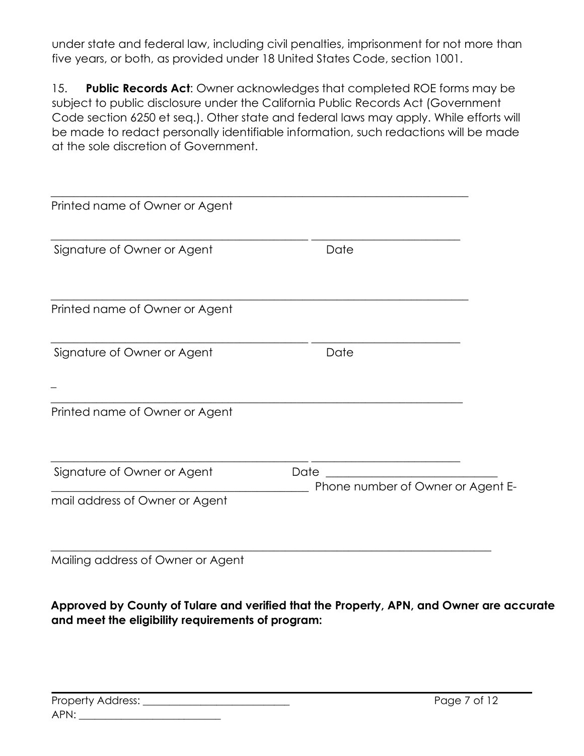under state and federal law, including civil penalties, imprisonment for not more than five years, or both, as provided under 18 United States Code, section 1001.

15. **Public Records Act**: Owner acknowledges that completed ROE forms may be subject to public disclosure under the California Public Records Act (Government Code section 6250 et seq.). Other state and federal laws may apply. While efforts will be made to redact personally identifiable information, such redactions will be made at the sole discretion of Government.

| Printed name of Owner or Agent |                                           |  |
|--------------------------------|-------------------------------------------|--|
| Signature of Owner or Agent    | Date                                      |  |
| Printed name of Owner or Agent |                                           |  |
| Signature of Owner or Agent    | Date                                      |  |
| Printed name of Owner or Agent |                                           |  |
| Signature of Owner or Agent    | Date<br>Phone number of Owner or Agent E- |  |
| mail address of Owner or Agent |                                           |  |
|                                |                                           |  |

Mailing address of Owner or Agent

**Approved by County of Tulare and verified that the Property, APN, and Owner are accurate and meet the eligibility requirements of program:**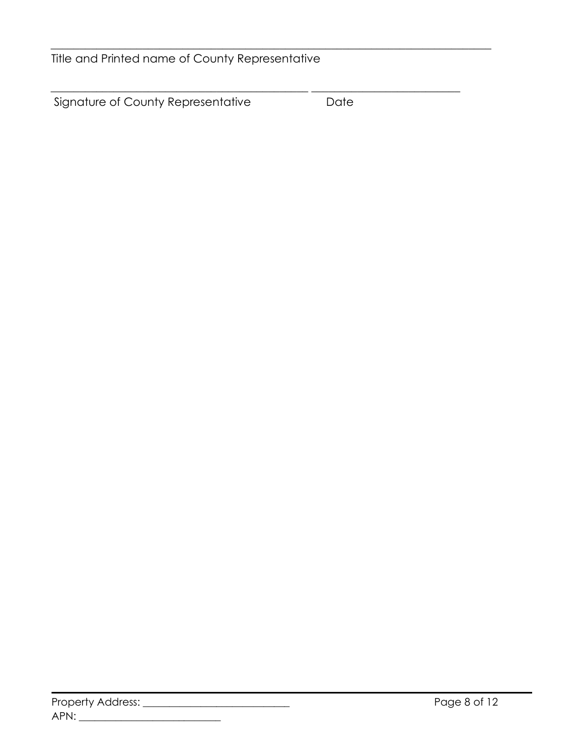Title and Printed name of County Representative

Signature of County Representative **Date** 

\_\_\_\_\_\_\_\_\_\_\_\_\_\_\_\_\_\_\_\_\_\_\_\_\_\_\_\_\_\_\_\_\_\_\_\_\_\_\_\_\_\_\_\_\_\_\_\_\_\_\_\_\_\_\_\_\_\_\_\_\_\_\_\_\_\_\_\_\_\_\_\_\_\_\_\_\_

 $\_$  , and the set of the set of the set of the set of the set of the set of the set of the set of the set of the set of the set of the set of the set of the set of the set of the set of the set of the set of the set of th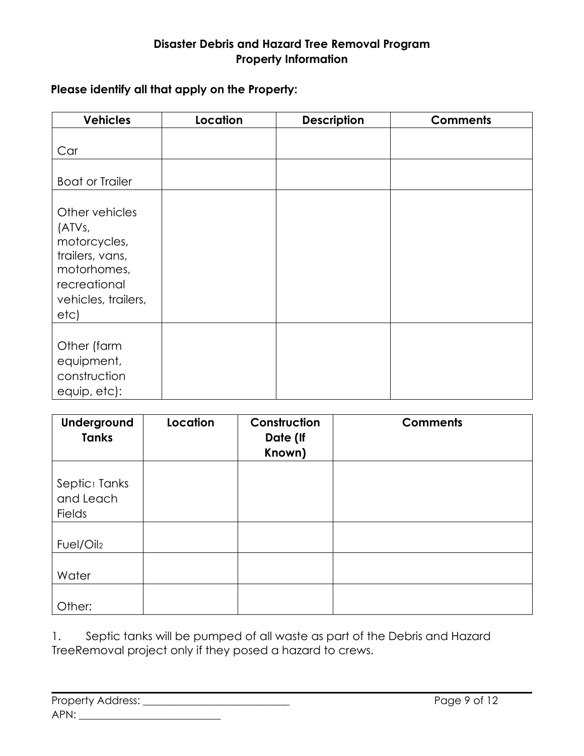## **Disaster Debris and Hazard Tree Removal Program Property Information**

## **Please identify all that apply on the Property:**

| <b>Vehicles</b>                                                                               | Location | <b>Description</b> | <b>Comments</b> |
|-----------------------------------------------------------------------------------------------|----------|--------------------|-----------------|
| Car<br><b>Boat or Trailer</b><br>Other vehicles<br>(ATVs,                                     |          |                    |                 |
| motorcycles,<br>trailers, vans,<br>motorhomes,<br>recreational<br>vehicles, trailers,<br>etc) |          |                    |                 |
| Other (farm<br>equipment,<br>construction<br>equip, etc):                                     |          |                    |                 |

| Underground<br><b>Tanks</b>                             | Location | Construction<br>Date (If<br>Known) | <b>Comments</b> |
|---------------------------------------------------------|----------|------------------------------------|-----------------|
| Septic <sub>1</sub> Tanks<br>and Leach<br><b>Fields</b> |          |                                    |                 |
| Fuel/Oil2                                               |          |                                    |                 |
| Water                                                   |          |                                    |                 |
| Other:                                                  |          |                                    |                 |

1. Septic tanks will be pumped of all waste as part of the Debris and Hazard TreeRemoval project only if they posed a hazard to crews.

| Property Address: |  |
|-------------------|--|
| APN:              |  |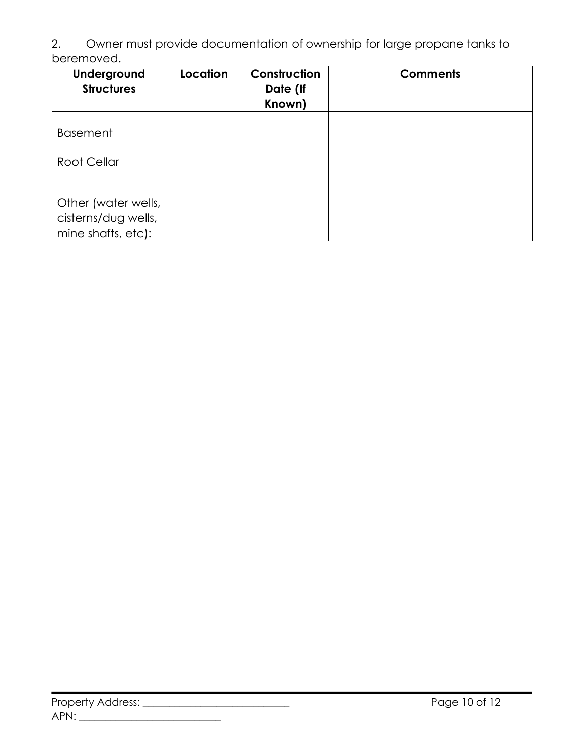2. Owner must provide documentation of ownership for large propane tanks to beremoved.

| Underground<br><b>Structures</b>                                 | Location | Construction<br>Date (If<br>Known) | <b>Comments</b> |
|------------------------------------------------------------------|----------|------------------------------------|-----------------|
| <b>Basement</b>                                                  |          |                                    |                 |
| Root Cellar                                                      |          |                                    |                 |
|                                                                  |          |                                    |                 |
| Other (water wells,<br>cisterns/dug wells,<br>mine shafts, etc): |          |                                    |                 |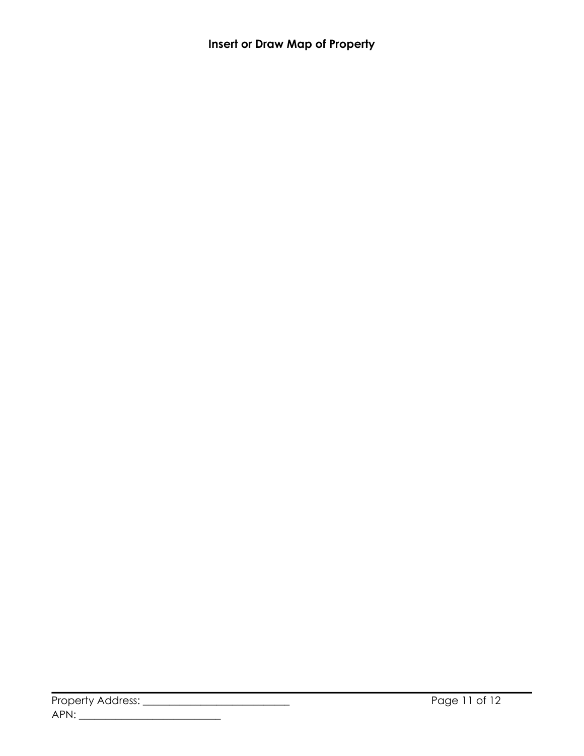**Insert or Draw Map of Property**